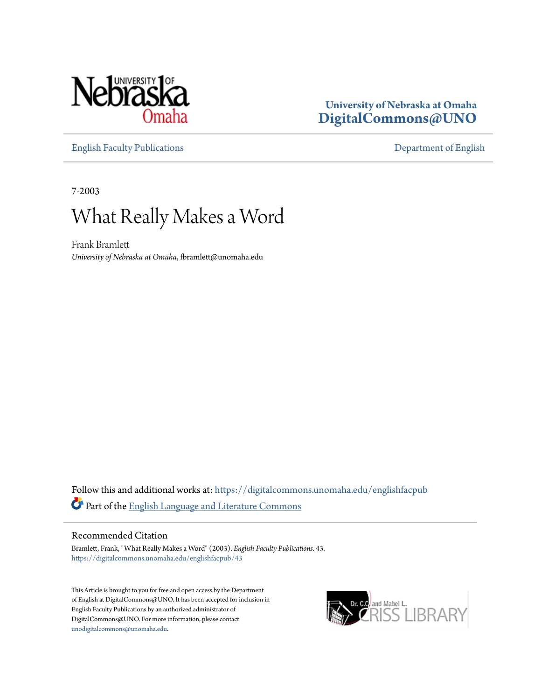

### **University of Nebraska at Omaha [DigitalCommons@UNO](https://digitalcommons.unomaha.edu?utm_source=digitalcommons.unomaha.edu%2Fenglishfacpub%2F43&utm_medium=PDF&utm_campaign=PDFCoverPages)**

[English Faculty Publications](https://digitalcommons.unomaha.edu/englishfacpub?utm_source=digitalcommons.unomaha.edu%2Fenglishfacpub%2F43&utm_medium=PDF&utm_campaign=PDFCoverPages) [Department of English](https://digitalcommons.unomaha.edu/english?utm_source=digitalcommons.unomaha.edu%2Fenglishfacpub%2F43&utm_medium=PDF&utm_campaign=PDFCoverPages)

7-2003

## What Really Makes a Word

Frank Bramlett *University of Nebraska at Omaha*, fbramlett@unomaha.edu

Follow this and additional works at: [https://digitalcommons.unomaha.edu/englishfacpub](https://digitalcommons.unomaha.edu/englishfacpub?utm_source=digitalcommons.unomaha.edu%2Fenglishfacpub%2F43&utm_medium=PDF&utm_campaign=PDFCoverPages) Part of the [English Language and Literature Commons](http://network.bepress.com/hgg/discipline/455?utm_source=digitalcommons.unomaha.edu%2Fenglishfacpub%2F43&utm_medium=PDF&utm_campaign=PDFCoverPages)

#### Recommended Citation

Bramlett, Frank, "What Really Makes a Word" (2003). *English Faculty Publications*. 43. [https://digitalcommons.unomaha.edu/englishfacpub/43](https://digitalcommons.unomaha.edu/englishfacpub/43?utm_source=digitalcommons.unomaha.edu%2Fenglishfacpub%2F43&utm_medium=PDF&utm_campaign=PDFCoverPages)

This Article is brought to you for free and open access by the Department of English at DigitalCommons@UNO. It has been accepted for inclusion in English Faculty Publications by an authorized administrator of DigitalCommons@UNO. For more information, please contact [unodigitalcommons@unomaha.edu](mailto:unodigitalcommons@unomaha.edu).